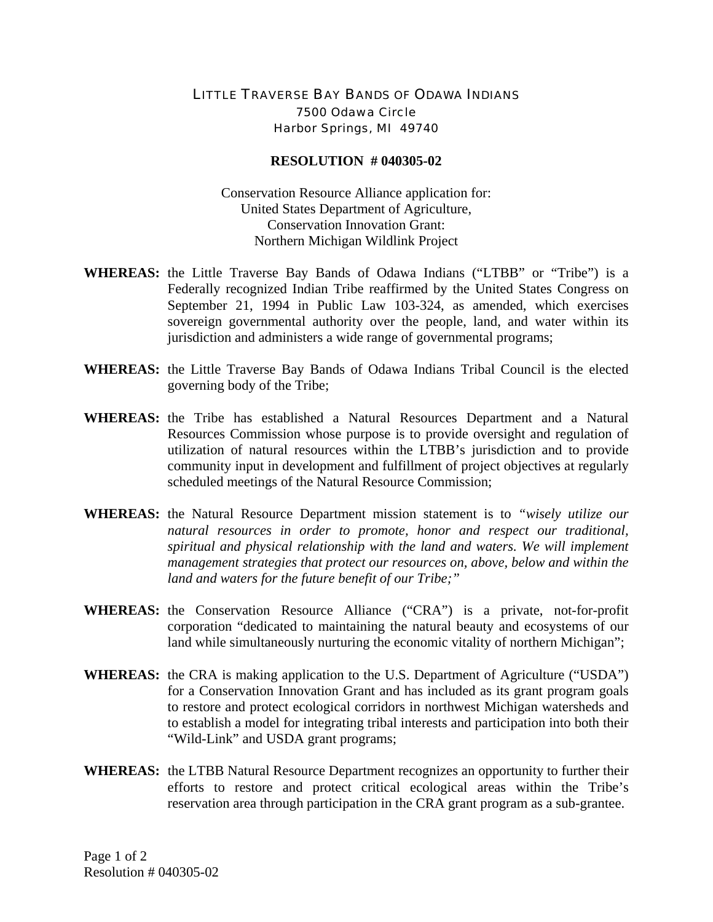## LITTLE TRAVERSE BAY BANDS OF ODAWA INDIANS 7500 Odawa Circle Harbor Springs, MI 49740

## **RESOLUTION # 040305-02**

Conservation Resource Alliance application for: United States Department of Agriculture, Conservation Innovation Grant: Northern Michigan Wildlink Project

- **WHEREAS:** the Little Traverse Bay Bands of Odawa Indians ("LTBB" or "Tribe") is a Federally recognized Indian Tribe reaffirmed by the United States Congress on September 21, 1994 in Public Law 103-324, as amended, which exercises sovereign governmental authority over the people, land, and water within its jurisdiction and administers a wide range of governmental programs;
- **WHEREAS:** the Little Traverse Bay Bands of Odawa Indians Tribal Council is the elected governing body of the Tribe;
- **WHEREAS:** the Tribe has established a Natural Resources Department and a Natural Resources Commission whose purpose is to provide oversight and regulation of utilization of natural resources within the LTBB's jurisdiction and to provide community input in development and fulfillment of project objectives at regularly scheduled meetings of the Natural Resource Commission;
- **WHEREAS:** the Natural Resource Department mission statement is to *"wisely utilize our natural resources in order to promote, honor and respect our traditional, spiritual and physical relationship with the land and waters. We will implement management strategies that protect our resources on, above, below and within the land and waters for the future benefit of our Tribe;"*
- **WHEREAS:** the Conservation Resource Alliance ("CRA") is a private, not-for-profit corporation "dedicated to maintaining the natural beauty and ecosystems of our land while simultaneously nurturing the economic vitality of northern Michigan";
- **WHEREAS:** the CRA is making application to the U.S. Department of Agriculture ("USDA") for a Conservation Innovation Grant and has included as its grant program goals to restore and protect ecological corridors in northwest Michigan watersheds and to establish a model for integrating tribal interests and participation into both their "Wild-Link" and USDA grant programs;
- **WHEREAS:** the LTBB Natural Resource Department recognizes an opportunity to further their efforts to restore and protect critical ecological areas within the Tribe's reservation area through participation in the CRA grant program as a sub-grantee.